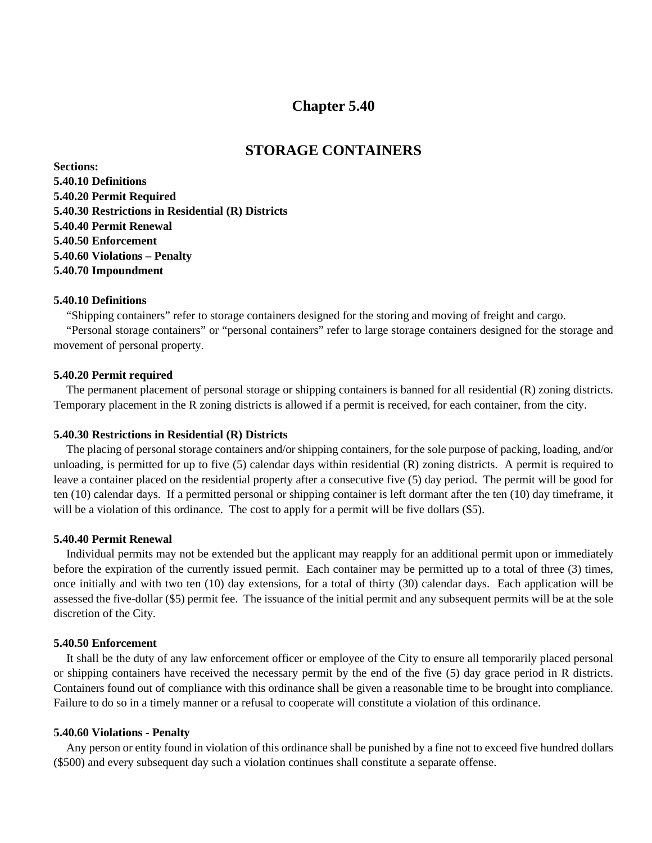## **Chapter 5.40**

# **STORAGE CONTAINERS**

**Sections: 5.40.10 Definitions 5.40.20 Permit Required 5.40.30 Restrictions in Residential (R) Districts 5.40.40 Permit Renewal 5.40.50 Enforcement 5.40.60 Violations – Penalty 5.40.70 Impoundment**

#### **5.40.10 Definitions**

"Shipping containers" refer to storage containers designed for the storing and moving of freight and cargo.

"Personal storage containers" or "personal containers" refer to large storage containers designed for the storage and movement of personal property.

#### **5.40.20 Permit required**

The permanent placement of personal storage or shipping containers is banned for all residential (R) zoning districts. Temporary placement in the R zoning districts is allowed if a permit is received, for each container, from the city.

#### **5.40.30 Restrictions in Residential (R) Districts**

The placing of personal storage containers and/or shipping containers, for the sole purpose of packing, loading, and/or unloading, is permitted for up to five (5) calendar days within residential (R) zoning districts. A permit is required to leave a container placed on the residential property after a consecutive five (5) day period. The permit will be good for ten (10) calendar days. If a permitted personal or shipping container is left dormant after the ten (10) day timeframe, it will be a violation of this ordinance. The cost to apply for a permit will be five dollars (\$5).

#### **5.40.40 Permit Renewal**

Individual permits may not be extended but the applicant may reapply for an additional permit upon or immediately before the expiration of the currently issued permit. Each container may be permitted up to a total of three (3) times, once initially and with two ten (10) day extensions, for a total of thirty (30) calendar days. Each application will be assessed the five-dollar (\$5) permit fee. The issuance of the initial permit and any subsequent permits will be at the sole discretion of the City.

### **5.40.50 Enforcement**

It shall be the duty of any law enforcement officer or employee of the City to ensure all temporarily placed personal or shipping containers have received the necessary permit by the end of the five (5) day grace period in R districts. Containers found out of compliance with this ordinance shall be given a reasonable time to be brought into compliance. Failure to do so in a timely manner or a refusal to cooperate will constitute a violation of this ordinance.

#### **5.40.60 Violations - Penalty**

Any person or entity found in violation of this ordinance shall be punished by a fine not to exceed five hundred dollars (\$500) and every subsequent day such a violation continues shall constitute a separate offense.